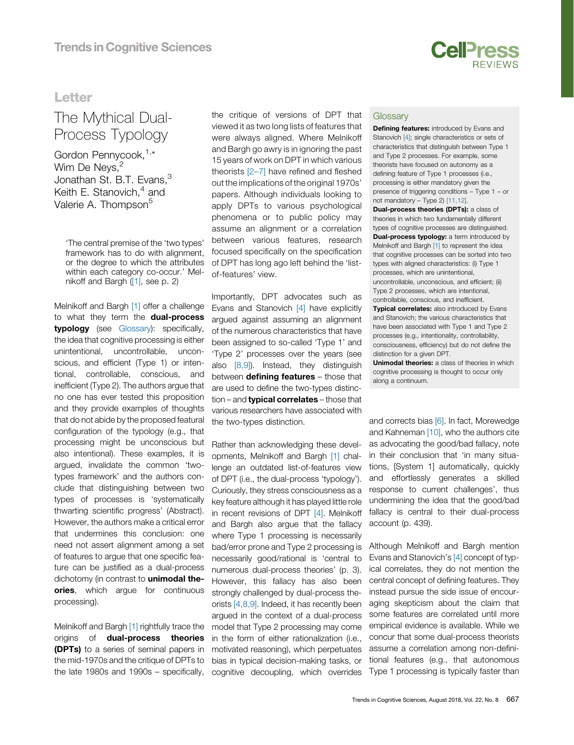

### **Letter**

## $L_{\text{L}}$   $\sim$   $\sim$ The Mythical Dual-Process Typology

Gordon Pennycook, [1,\\*](#page-1-0) Wim De Nevs. Jonathan St. B.T. Evans,  $3$ Keith E. Stanovich, $4$  [and](#page-1-0) Valerie A. Thompson<sup>5</sup>

'The central premise of the 'two types' framework has to do with alignment, or the degree to which the attributes within each category co-occur.' Melnikoff and Bargh ([\[1\],](#page-1-0) see p. 2)

Melnikoff and Bargh [\[1\]](#page-1-0) offer a challenge to what they term the **dual-process** typology (see Glossary): specifically, the idea that cognitive processing is either unintentional, uncontrollable, unconscious, and efficient (Type 1) or intentional, controllable, conscious, and inefficient (Type 2). The authors argue that no one has ever tested this proposition and they provide examples of thoughts that do not abide by the proposed featural configuration of the typology (e.g., that processing might be unconscious but also intentional). These examples, it is argued, invalidate the common 'twotypes framework' and the authors conclude that distinguishing between two types of processes is 'systematically thwarting scientific progress' (Abstract). However, the authors make a critical error that undermines this conclusion: one need not assert alignment among a set of features to argue that one specific feature can be justified as a dual-process dichotomy (in contrast to **unimodal the**ories, which arque for continuous processing).

Melnikoff and Bargh [\[1\]](#page-1-0) rightfully trace the origins of dual-process theories (DPTs) to a series of seminal papers in the mid-1970s and the critique of DPTs to the late 1980s and 1990s – specifically,

the critique of versions of DPT that viewed it as two long lists of features that were always aligned. Where Melnikoff and Bargh go awry is in ignoring the past 15 years of work on DPT in which various theorists [\[2](#page-1-0)–7] have refined and fleshed out the implications of the original 1970s' papers. Although individuals looking to apply DPTs to various psychological phenomena or to public policy may assume an alignment or a correlation between various features, research focused specifically on the specification of DPT has long ago left behind the 'listof-features' view.

Importantly, DPT advocates such as Evans and Stanovich [\[4\]](#page-1-0) have explicitly argued against assuming an alignment of the numerous characteristics that have been assigned to so-called 'Type 1' and 'Type 2' processes over the years (see also [\[8,9\]](#page-1-0)). Instead, they distinguish between defining features - those that are used to define the two-types distinction – and **typical correlates** – those that various researchers have associated with the two-types distinction.

Rather than acknowledging these developments, Melnikoff and Bargh [\[1\]](#page-1-0) challenge an outdated list-of-features view of DPT (i.e., the dual-process 'typology'). Curiously, they stress consciousness as a key feature although it has played little role in recent revisions of DPT [\[4\].](#page-1-0) Melnikoff and Bargh also argue that the fallacy where Type 1 processing is necessarily bad/error prone and Type 2 processing is necessarily good/rational is 'central to numerous dual-process theories' (p. 3). However, this fallacy has also been strongly challenged by dual-process theorists [\[4,8,9\].](#page-1-0) Indeed, it has recently been argued in the context of a dual-process model that Type 2 processing may come in the form of either rationalization (i.e., motivated reasoning), which perpetuates bias in typical decision-making tasks, or cognitive decoupling, which overrides

### **Glossary**

Defining features: introduced by Evans and Stanovich [4]; single characteristics or sets of characteristics that distinguish between Type 1 and Type 2 processes. For example, some theorists have focused on autonomy as a defining feature of Type 1 processes (i.e., processing is either mandatory given the presence of triggering conditions – Type 1 – or not mandatory – Type 2) [11,12]. Dual-process theories (DPTs): a class of theories in which two fundamentally different types of cognitive processes are distinguished. **Dual-process typology:** a term introduced by Melnikoff and Bargh [1] to represent the idea that cognitive processes can be sorted into two types with aligned characteristics: (i) Type 1 processes, which are unintentional, uncontrollable, unconscious, and efficient; (ii) Type 2 processes, which are intentional, controllable, conscious, and inefficient. **Typical correlates:** also introduced by Evans and Stanovich; the various characteristics that have been associated with Type 1 and Type 2 processes (e.g., intentionality, controllability, consciousness, efficiency) but do not define the distinction for a given DPT.

Unimodal theories: a class of theories in which cognitive processing is thought to occur only along a continuum.

and corrects bias [\[6\].](#page-1-0) In fact, Morewedge and Kahneman [\[10\]](#page-1-0), who the authors cite as advocating the good/bad fallacy, note in their conclusion that 'in many situations, [System 1] automatically, quickly and effortlessly generates a skilled response to current challenges', thus undermining the idea that the good/bad fallacy is central to their dual-process account (p. 439).

Although Melnikoff and Bargh mention Evans and Stanovich's [\[4\]](#page-1-0) concept of typical correlates, they do not mention the central concept of defining features. They instead pursue the side issue of encouraging skepticism about the claim that some features are correlated until more empirical evidence is available. While we concur that some dual-process theorists assume a correlation among non-definitional features (e.g., that autonomous Type 1 processing is typically faster than